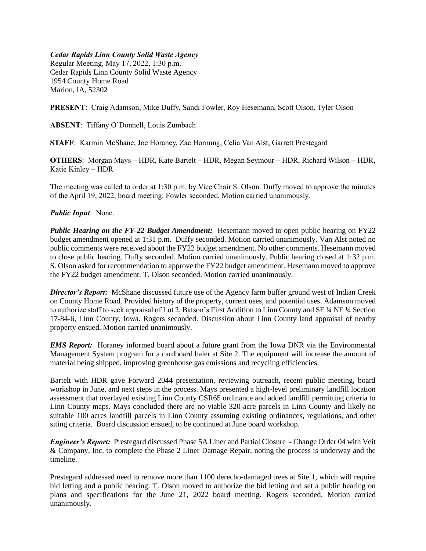## *Cedar Rapids Linn County Solid Waste Agency*

Regular Meeting, May 17, 2022, 1:30 p.m. Cedar Rapids Linn County Solid Waste Agency 1954 County Home Road Marion, IA, 52302

**PRESENT**: Craig Adamson, Mike Duffy, Sandi Fowler, Roy Hesemann, Scott Olson, Tyler Olson

**ABSENT**: Tiffany O'Donnell, Louis Zumbach

**STAFF**: Karmin McShane, Joe Horaney, Zac Hornung, Celia Van Alst, Garrett Prestegard

**OTHERS**: Morgan Mays – HDR, Kate Bartelt – HDR, Megan Seymour – HDR, Richard Wilson – HDR, Katie Kinley – HDR

The meeting was called to order at 1:30 p.m. by Vice Chair S. Olson. Duffy moved to approve the minutes of the April 19, 2022, board meeting. Fowler seconded. Motion carried unanimously.

## *Public Input*: None.

*Public Hearing on the FY-22 Budget Amendment:* Hesemann moved to open public hearing on FY22 budget amendment opened at 1:31 p.m. Duffy seconded. Motion carried unanimously. Van Alst noted no public comments were received about the FY22 budget amendment. No other comments. Hesemann moved to close public hearing. Duffy seconded. Motion carried unanimously. Public hearing closed at 1:32 p.m. S. Olson asked for recommendation to approve the FY22 budget amendment. Hesemann moved to approve the FY22 budget amendment. T. Olson seconded. Motion carried unanimously.

*Director's Report:* McShane discussed future use of the Agency farm buffer ground west of Indian Creek on County Home Road. Provided history of the property, current uses, and potential uses. Adamson moved to authorize staff to seek appraisal of Lot 2, Batson's First Addition to Linn County and SE ¼ NE ¼ Section 17-84-6, Linn County, Iowa. Rogers seconded. Discussion about Linn County land appraisal of nearby property ensued. Motion carried unanimously.

*EMS Report:* Horaney informed board about a future grant from the Iowa DNR via the Environmental Management System program for a cardboard baler at Site 2. The equipment will increase the amount of material being shipped, improving greenhouse gas emissions and recycling efficiencies.

Bartelt with HDR gave Forward 2044 presentation, reviewing outreach, recent public meeting, board workshop in June, and next steps in the process. Mays presented a high-level preliminary landfill location assessment that overlayed existing Linn County CSR65 ordinance and added landfill permitting criteria to Linn County maps. Mays concluded there are no viable 320-acre parcels in Linn County and likely no suitable 100 acres landfill parcels in Linn County assuming existing ordinances, regulations, and other siting criteria. Board discussion ensued, to be continued at June board workshop.

*Engineer's Report:* Prestegard discussed Phase 5A Liner and Partial Closure - Change Order 04 with Veit & Company, Inc. to complete the Phase 2 Liner Damage Repair, noting the process is underway and the timeline.

Prestegard addressed need to remove more than 1100 derecho-damaged trees at Site 1, which will require bid letting and a public hearing. T. Olson moved to authorize the bid letting and set a public hearing on plans and specifications for the June 21, 2022 board meeting. Rogers seconded. Motion carried unanimously.